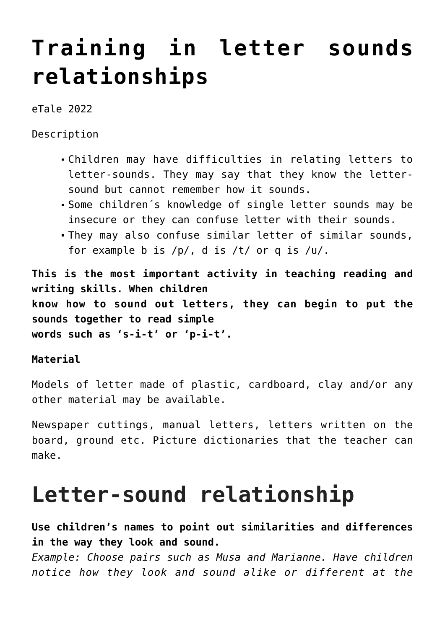## **[Training in letter sounds](https://dev.taleafrica.com/tips/training-letter-sounds-relationships/) [relationships](https://dev.taleafrica.com/tips/training-letter-sounds-relationships/)**

eTale 2022

Description

- Children may have difficulties in relating letters to letter-sounds. They may say that they know the lettersound but cannot remember how it sounds.
- Some children´s knowledge of single letter sounds may be insecure or they can confuse letter with their sounds.
- They may also confuse similar letter of similar sounds, for example b is /p/, d is /t/ or q is /u/.

**This is the most important activity in teaching reading and writing skills. When children know how to sound out letters, they can begin to put the sounds together to read simple words such as 's-i-t' or 'p-i-t'.**

## **Material**

Models of letter made of plastic, cardboard, clay and/or any other material may be available.

Newspaper cuttings, manual letters, letters written on the board, ground etc. Picture dictionaries that the teacher can make.

## **Letter-sound relationship**

**Use children's names to point out similarities and differences in the way they look and sound.**

*Example: Choose pairs such as Musa and Marianne. Have children notice how they look and sound alike or different at the*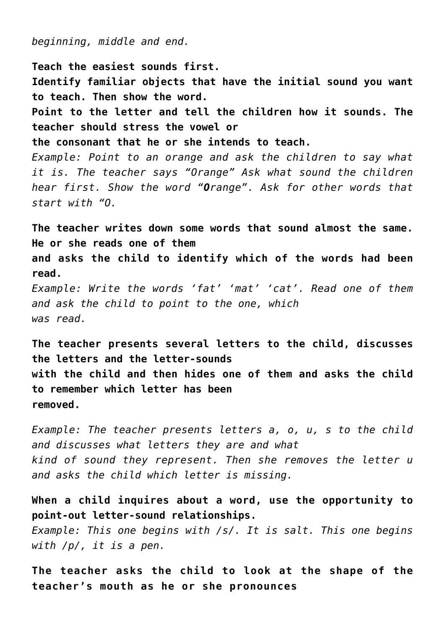*beginning, middle and end.*

**Teach the easiest sounds first. Identify familiar objects that have the initial sound you want to teach. Then show the word. Point to the letter and tell the children how it sounds. The teacher should stress the vowel or the consonant that he or she intends to teach.** *Example: Point to an orange and ask the children to say what it is. The teacher says "Orange" Ask what sound the children hear first. Show the word "Orange". Ask for other words that start with "O.*

**The teacher writes down some words that sound almost the same. He or she reads one of them and asks the child to identify which of the words had been read.** *Example: Write the words 'fat' 'mat' 'cat'. Read one of them*

*and ask the child to point to the one, which was read.*

**The teacher presents several letters to the child, discusses the letters and the letter-sounds with the child and then hides one of them and asks the child to remember which letter has been removed.**

*Example: The teacher presents letters a, o, u, s to the child and discusses what letters they are and what kind of sound they represent. Then she removes the letter u and asks the child which letter is missing.*

**When a child inquires about a word, use the opportunity to point-out letter-sound relationships.**

*Example: This one begins with /s/. It is salt. This one begins with /p/, it is a pen.*

**The teacher asks the child to look at the shape of the teacher's mouth as he or she pronounces**